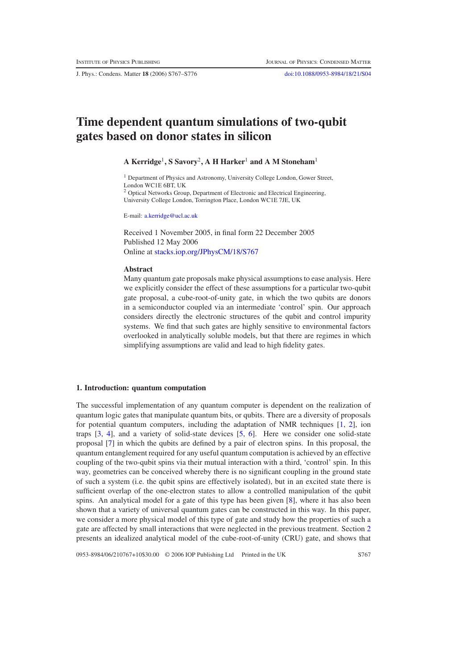J. Phys.: Condens. Matter **18** (2006) S767–S776 [doi:10.1088/0953-8984/18/21/S04](http://dx.doi.org/10.1088/0953-8984/18/21/S04)

# **Time dependent quantum simulations of two-qubit gates based on donor states in silicon**

# **A Kerridge**<sup>1</sup>**, S Savory**<sup>2</sup>**, A H Harker**<sup>1</sup> **and A M Stoneham**<sup>1</sup>

<sup>1</sup> Department of Physics and Astronomy, University College London, Gower Street, London WC1E 6BT, UK <sup>2</sup> Optical Networks Group, Department of Electronic and Electrical Engineering, University College London, Torrington Place, London WC1E 7JE, UK

E-mail: [a.kerridge@ucl.ac.uk](mailto:a.kerridge@ucl.ac.uk)

Received 1 November 2005, in final form 22 December 2005 Published 12 May 2006 Online at [stacks.iop.org/JPhysCM/18/S767](http://stacks.iop.org/JPhysCM/18/S767)

#### **Abstract**

Many quantum gate proposals make physical assumptions to ease analysis. Here we explicitly consider the effect of these assumptions for a particular two-qubit gate proposal, a cube-root-of-unity gate, in which the two qubits are donors in a semiconductor coupled via an intermediate 'control' spin. Our approach considers directly the electronic structures of the qubit and control impurity systems. We find that such gates are highly sensitive to environmental factors overlooked in analytically soluble models, but that there are regimes in which simplifying assumptions are valid and lead to high fidelity gates.

# **1. Introduction: quantum computation**

The successful implementation of any quantum computer is dependent on the realization of quantum logic gates that manipulate quantum bits, or qubits. There are a diversity of proposals for potential quantum computers, including the adaptation of NMR techniques [\[1,](#page-9-0) [2\]](#page-9-1), ion traps [\[3,](#page-9-2) [4\]](#page-9-3), and a variety of solid-state devices [\[5,](#page-9-4) [6\]](#page-9-5). Here we consider one solid-state proposal [\[7\]](#page-9-6) in which the qubits are defined by a pair of electron spins. In this proposal, the quantum entanglement required for any useful quantum computation is achieved by an effective coupling of the two-qubit spins via their mutual interaction with a third, 'control' spin. In this way, geometries can be conceived whereby there is no significant coupling in the ground state of such a system (i.e. the qubit spins are effectively isolated), but in an excited state there is sufficient overlap of the one-electron states to allow a controlled manipulation of the qubit spins. An analytical model for a gate of this type has been given [\[8\]](#page-9-7), where it has also been shown that a variety of universal quantum gates can be constructed in this way. In this paper, we consider a more physical model of this type of gate and study how the properties of such a gate are affected by small interactions that were neglected in the previous treatment. Section [2](#page-1-0) presents an idealized analytical model of the cube-root-of-unity (CRU) gate, and shows that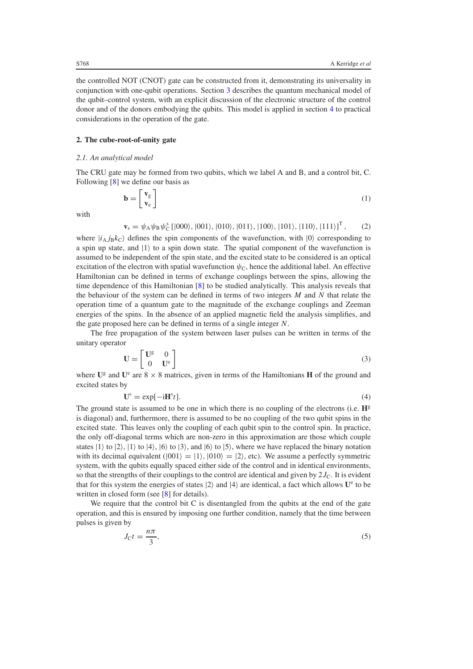<span id="page-1-0"></span>the controlled NOT (CNOT) gate can be constructed from it, demonstrating its universality in conjunction with one-qubit operations. Section [3](#page-3-0) describes the quantum mechanical model of the qubit–control system, with an explicit discussion of the electronic structure of the control donor and of the donors embodying the qubits. This model is applied in section [4](#page-5-0) to practical considerations in the operation of the gate.

## **2. The cube-root-of-unity gate**

#### *2.1. An analytical model*

The CRU gate may be formed from two qubits, which we label A and B, and a control bit, C. Following [\[8\]](#page-9-7) we define our basis as

$$
\mathbf{b} = \begin{bmatrix} \mathbf{v}_{g} \\ \mathbf{v}_{e} \end{bmatrix} \tag{1}
$$

with

$$
\mathbf{v}_s = \psi_A \psi_B \psi_C^s \left[ |000\rangle, |001\rangle, |010\rangle, |011\rangle, |100\rangle, |101\rangle, |110\rangle, |111\rangle \right]^T, \tag{2}
$$

where  $|i_A j_B k_C\rangle$  defines the spin components of the wavefunction, with  $|0\rangle$  corresponding to a spin up state, and  $|1\rangle$  to a spin down state. The spatial component of the wavefunction is assumed to be independent of the spin state, and the excited state to be considered is an optical excitation of the electron with spatial wavefunction  $\psi_c$ , hence the additional label. An effective Hamiltonian can be defined in terms of exchange couplings between the spins, allowing the time dependence of this Hamiltonian [\[8\]](#page-9-7) to be studied analytically. This analysis reveals that the behaviour of the system can be defined in terms of two integers *M* and *N* that relate the operation time of a quantum gate to the magnitude of the exchange couplings and Zeeman energies of the spins. In the absence of an applied magnetic field the analysis simplifies, and the gate proposed here can be defined in terms of a single integer *N*.

The free propagation of the system between laser pulses can be written in terms of the unitary operator

$$
\mathbf{U} = \begin{bmatrix} \mathbf{U}^{\text{g}} & 0 \\ 0 & \mathbf{U}^{\text{e}} \end{bmatrix} \tag{3}
$$

where  $\mathbf{U}^g$  and  $\mathbf{U}^e$  are  $8 \times 8$  matrices, given in terms of the Hamiltonians **H** of the ground and excited states by

$$
\mathbf{U}^{\mathrm{s}} = \exp[-\mathrm{i}\mathbf{H}^{\mathrm{s}}t].\tag{4}
$$

The ground state is assumed to be one in which there is no coupling of the electrons (i.e.  $\mathbf{H}^{\text{g}}$ is diagonal) and, furthermore, there is assumed to be no coupling of the two qubit spins in the excited state. This leaves only the coupling of each qubit spin to the control spin. In practice, the only off-diagonal terms which are non-zero in this approximation are those which couple states  $|1\rangle$  to  $|2\rangle$ ,  $|1\rangle$  to  $|4\rangle$ ,  $|6\rangle$  to  $|3\rangle$ , and  $|6\rangle$  to  $|5\rangle$ , where we have replaced the binary notation with its decimal equivalent ( $|001\rangle=|1\rangle$ ,  $|010\rangle=|2\rangle$ , etc). We assume a perfectly symmetric system, with the qubits equally spaced either side of the control and in identical environments, so that the strengths of their couplings to the control are identical and given by  $2J<sub>C</sub>$ . It is evident that for this system the energies of states  $|2\rangle$  and  $|4\rangle$  are identical, a fact which allows  $U^e$  to be written in closed form (see [\[8\]](#page-9-7) for details).

We require that the control bit C is disentangled from the qubits at the end of the gate operation, and this is ensured by imposing one further condition, namely that the time between pulses is given by

$$
J_{\rm C}t = \frac{n\pi}{3},\tag{5}
$$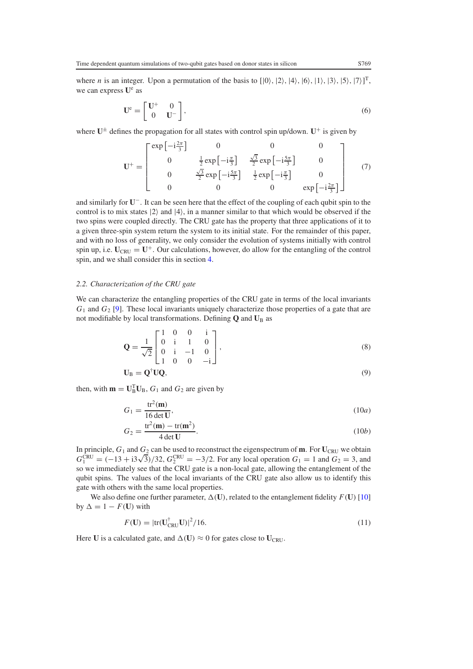where *n* is an integer. Upon a permutation of the basis to  $[0, 2, 4, 6, 1, 1, 3, 5, 7]$ <sup>T</sup>, we can express  $U^e$  as

$$
\mathbf{U}^{\mathbf{e}} = \begin{bmatrix} \mathbf{U}^{+} & 0\\ 0 & \mathbf{U}^{-} \end{bmatrix},\tag{6}
$$

<span id="page-2-0"></span>where  $U^{\pm}$  defines the propagation for all states with control spin up/down.  $U^+$  is given by

$$
\mathbf{U}^{+} = \begin{bmatrix} \exp\left[-i\frac{2\pi}{3}\right] & 0 & 0 & 0\\ 0 & \frac{1}{2}\exp\left[-i\frac{\pi}{3}\right] & \frac{\sqrt{3}}{2}\exp\left[-i\frac{5\pi}{3}\right] & 0\\ 0 & \frac{\sqrt{3}}{2}\exp\left[-i\frac{5\pi}{3}\right] & \frac{1}{2}\exp\left[-i\frac{\pi}{3}\right] & 0\\ 0 & 0 & 0 & \exp\left[-i\frac{2\pi}{3}\right] \end{bmatrix}
$$
(7)

and similarly for **U**−. It can be seen here that the effect of the coupling of each qubit spin to the control is to mix states  $|2\rangle$  and  $|4\rangle$ , in a manner similar to that which would be observed if the two spins were coupled directly. The CRU gate has the property that three applications of it to a given three-spin system return the system to its initial state. For the remainder of this paper, and with no loss of generality, we only consider the evolution of systems initially with control spin up, i.e.  $U_{CRU} = U^+$ . Our calculations, however, do allow for the entangling of the control spin, and we shall consider this in section [4.](#page-5-0)

# *2.2. Characterization of the CRU gate*

We can characterize the entangling properties of the CRU gate in terms of the local invariants *G*<sup>1</sup> and *G*<sup>2</sup> [\[9\]](#page-9-8). These local invariants uniquely characterize those properties of a gate that are not modifiable by local transformations. Defining **Q** and **U**<sub>B</sub> as

$$
\mathbf{Q} = \frac{1}{\sqrt{2}} \begin{bmatrix} 1 & 0 & 0 & \mathrm{i} \\ 0 & \mathrm{i} & 1 & 0 \\ 0 & \mathrm{i} & -1 & 0 \\ 1 & 0 & 0 & -\mathrm{i} \end{bmatrix},\tag{8}
$$

$$
\mathbf{U}_{\mathrm{B}} = \mathbf{Q}^{\dagger} \mathbf{U} \mathbf{Q},\tag{9}
$$

<span id="page-2-2"></span><span id="page-2-1"></span>then, with  $\mathbf{m} = \mathbf{U}_{\text{B}}^{\text{T}} \mathbf{U}_{\text{B}}$ ,  $G_1$  and  $G_2$  are given by

$$
G_1 = \frac{\text{tr}^2(\mathbf{m})}{16 \det \mathbf{U}},\tag{10a}
$$

$$
G_2 = \frac{\text{tr}^2(\mathbf{m}) - \text{tr}(\mathbf{m}^2)}{4 \det \mathbf{U}}.
$$
 (10*b*)

In principle,  $G_1$  and  $G_2$  can be used to reconstruct the eigenspectrum of **m**. For  $U_{CRU}$  we obtain In principle,  $G_1$  and  $G_2$  can be used to reconstruct the eigenspectrum of **m**. For  $U_{CRU}$  we obtain  $G_1^{CRU} = (-13 + i3\sqrt{3})/32$ ,  $G_2^{CRU} = -3/2$ . For any local operation  $G_1 = 1$  and  $G_2 = 3$ , and so we immediately see that the CRU gate is a non-local gate, allowing the entanglement of the qubit spins. The values of the local invariants of the CRU gate also allow us to identify this gate with others with the same local properties.

We also define one further parameter,  $\Delta(U)$ , related to the entanglement fidelity  $F(U)$  [\[10\]](#page-9-9) by  $\Delta = 1 - F(\mathbf{U})$  with

$$
F(\mathbf{U}) = |\text{tr}(\mathbf{U}_{\text{CRU}}^{\dagger}\mathbf{U})|^2 / 16. \tag{11}
$$

Here **U** is a calculated gate, and  $\Delta(\mathbf{U}) \approx 0$  for gates close to  $\mathbf{U}_{CRU}$ .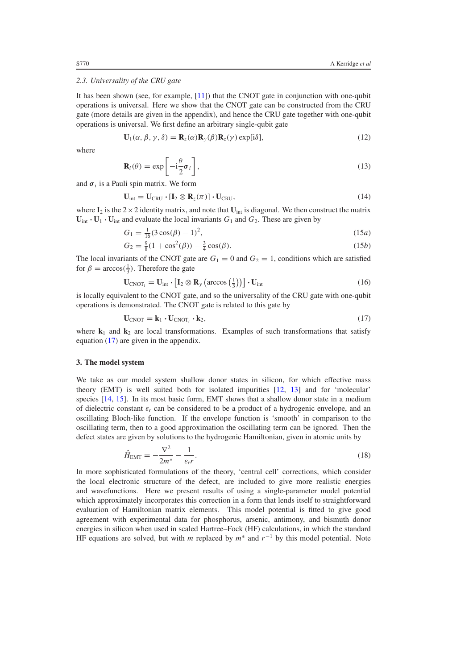#### <span id="page-3-3"></span>*2.3. Universality of the CRU gate*

It has been shown (see, for example, [\[11\]](#page-9-10)) that the CNOT gate in conjunction with one-qubit operations is universal. Here we show that the CNOT gate can be constructed from the CRU gate (more details are given in the appendix), and hence the CRU gate together with one-qubit operations is universal. We first define an arbitrary single-qubit gate

$$
\mathbf{U}_1(\alpha, \beta, \gamma, \delta) = \mathbf{R}_z(\alpha) \mathbf{R}_y(\beta) \mathbf{R}_z(\gamma) \exp[i\delta],\tag{12}
$$

where

$$
\mathbf{R}_{i}(\theta) = \exp\left[-i\frac{\theta}{2}\boldsymbol{\sigma}_{i}\right],\tag{13}
$$

and  $\sigma_i$  is a Pauli spin matrix. We form

$$
\mathbf{U}_{\text{int}} = \mathbf{U}_{\text{CRU}} \cdot [\mathbf{I}_2 \otimes \mathbf{R}_z(\pi)] \cdot \mathbf{U}_{\text{CRU}}, \tag{14}
$$

where  $I_2$  is the  $2 \times 2$  identity matrix, and note that  $U_{int}$  is diagonal. We then construct the matrix  $U_{\text{int}} \cdot U_1 \cdot U_{\text{int}}$  and evaluate the local invariants  $G_1$  and  $G_2$ . These are given by

$$
G_1 = \frac{1}{16}(3\cos(\beta) - 1)^2,\tag{15a}
$$

$$
G_2 = \frac{9}{8}(1 + \cos^2(\beta)) - \frac{3}{4}\cos(\beta). \tag{15b}
$$

<span id="page-3-1"></span>The local invariants of the CNOT gate are  $G_1 = 0$  and  $G_2 = 1$ , conditions which are satisfied for  $\beta = \arccos(\frac{1}{3})$ . Therefore the gate

$$
\mathbf{U}_{\text{CNOT}_l} = \mathbf{U}_{\text{int}} \cdot \left[ \mathbf{I}_2 \otimes \mathbf{R}_y \left( \arccos\left(\frac{1}{3}\right) \right) \right] \cdot \mathbf{U}_{\text{int}}
$$
(16)

<span id="page-3-0"></span>is locally equivalent to the CNOT gate, and so the universality of the CRU gate with one-qubit operations is demonstrated. The CNOT gate is related to this gate by

$$
\mathbf{U}_{\text{CNOT}} = \mathbf{k}_1 \cdot \mathbf{U}_{\text{CNOT}_l} \cdot \mathbf{k}_2,\tag{17}
$$

where  $\mathbf{k}_1$  and  $\mathbf{k}_2$  are local transformations. Examples of such transformations that satisfy equation [\(17\)](#page-3-1) are given in the appendix.

#### **3. The model system**

<span id="page-3-2"></span>We take as our model system shallow donor states in silicon, for which effective mass theory (EMT) is well suited both for isolated impurities [\[12,](#page-9-11) [13\]](#page-9-12) and for 'molecular' species [\[14,](#page-9-13) [15\]](#page-9-14). In its most basic form, EMT shows that a shallow donor state in a medium of dielectric constant  $\varepsilon_r$  can be considered to be a product of a hydrogenic envelope, and an oscillating Bloch-like function. If the envelope function is 'smooth' in comparison to the oscillating term, then to a good approximation the oscillating term can be ignored. Then the defect states are given by solutions to the hydrogenic Hamiltonian, given in atomic units by

$$
\hat{H}_{\text{EMT}} = -\frac{\nabla^2}{2m^*} - \frac{1}{\varepsilon_r r}.
$$
\n(18)

In more sophisticated formulations of the theory, 'central cell' corrections, which consider the local electronic structure of the defect, are included to give more realistic energies and wavefunctions. Here we present results of using a single-parameter model potential which approximately incorporates this correction in a form that lends itself to straightforward evaluation of Hamiltonian matrix elements. This model potential is fitted to give good agreement with experimental data for phosphorus, arsenic, antimony, and bismuth donor energies in silicon when used in scaled Hartree–Fock (HF) calculations, in which the standard HF equations are solved, but with *m* replaced by *m*<sup>∗</sup> and *r*<sup>−</sup><sup>1</sup> by this model potential. Note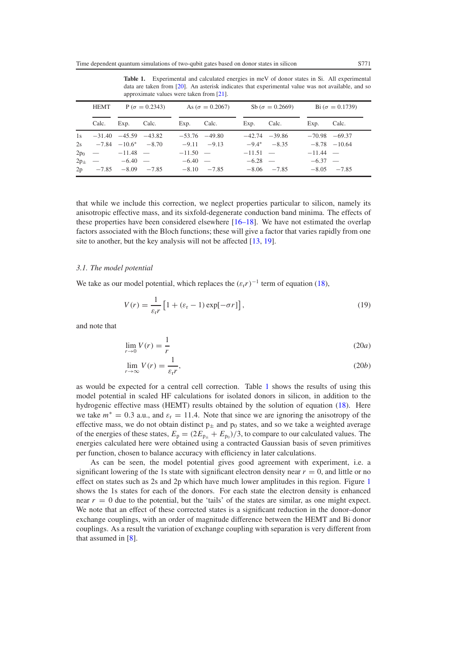<span id="page-4-0"></span>

|    | $P(\sigma = 0.2343)$<br><b>HEMT</b> |                                | As ( $\sigma = 0.2067$ ) |                 | Sb ( $\sigma = 0.2669$ ) |            | Bi $(\sigma = 0.1739)$ |                   |               |
|----|-------------------------------------|--------------------------------|--------------------------|-----------------|--------------------------|------------|------------------------|-------------------|---------------|
|    | Calc.                               | Exp.                           | Calc.                    | Exp. Calc.      |                          | Exp.       | Calc.                  | Exp.              | Calc.         |
| 1s |                                     | $-31.40$ $-45.59$ $-43.82$     |                          |                 | $-53.76$ $-49.80$        |            | $-42.74$ $-39.86$      | $-70.98$ $-69.37$ |               |
|    |                                     | $2s$ $-7.84$ $-10.6^*$ $-8.70$ |                          | $-9.11 - -9.13$ |                          |            | $-9.4^*$ $-8.35$       | $-8.78$ $-10.64$  |               |
|    |                                     | $2p_0$ - $-11.48$ -            |                          | $-11.50 -$      |                          | $-11.51 -$ |                        | $-11.44 -$        |               |
|    |                                     | $2p_{\pm}$ -6.40 -             |                          | $-6.40 -$       |                          | $-6.28 -$  |                        | $-6.37 -$         |               |
|    |                                     | $2p -7.85 -8.09 -7.85$         |                          |                 | $-8.10 -7.85$            |            | $-8.06 -7.85$          |                   | $-8.05 -7.85$ |

**Table 1.** Experimental and calculated energies in meV of donor states in Si. All experimental data are taken from [\[20\]](#page-9-15). An asterisk indicates that experimental value was not available, and so approximate values were taken from [\[21\]](#page-9-16).

that while we include this correction, we neglect properties particular to silicon, namely its anisotropic effective mass, and its sixfold-degenerate conduction band minima. The effects of these properties have been considered elsewhere [\[16–18\]](#page-9-17). We have not estimated the overlap factors associated with the Bloch functions; these will give a factor that varies rapidly from one site to another, but the key analysis will not be affected [\[13,](#page-9-12) [19\]](#page-9-18).

## *3.1. The model potential*

We take as our model potential, which replaces the  $(\varepsilon_r r)^{-1}$  term of equation [\(18\)](#page-3-2),

$$
V(r) = \frac{1}{\varepsilon_r r} \left[ 1 + (\varepsilon_r - 1) \exp[-\sigma r] \right],\tag{19}
$$

and note that

$$
\lim_{r \to 0} V(r) = \frac{1}{r}
$$
\n(20*a*)

$$
\lim_{r \to \infty} V(r) = \frac{1}{\varepsilon_r r},\tag{20b}
$$

as would be expected for a central cell correction. Table [1](#page-4-0) shows the results of using this model potential in scaled HF calculations for isolated donors in silicon, in addition to the hydrogenic effective mass (HEMT) results obtained by the solution of equation [\(18\)](#page-3-2). Here we take  $m^* = 0.3$  a.u., and  $\varepsilon_r = 11.4$ . Note that since we are ignoring the anisotropy of the effective mass, we do not obtain distinct  $p_{\pm}$  and  $p_0$  states, and so we take a weighted average of the energies of these states,  $E_p = (2E_{p_{\pm}} + E_{p_0})/3$ , to compare to our calculated values. The energies calculated here were obtained using a contracted Gaussian basis of seven primitives per function, chosen to balance accuracy with efficiency in later calculations.

As can be seen, the model potential gives good agreement with experiment, i.e. a significant lowering of the 1s state with significant electron density near  $r = 0$ , and little or no effect on states such as 2s and 2p which have much lower amplitudes in this region. Figure [1](#page-5-1) shows the 1s states for each of the donors. For each state the electron density is enhanced near  $r = 0$  due to the potential, but the 'tails' of the states are similar, as one might expect. We note that an effect of these corrected states is a significant reduction in the donor–donor exchange couplings, with an order of magnitude difference between the HEMT and Bi donor couplings. As a result the variation of exchange coupling with separation is very different from that assumed in [\[8\]](#page-9-7).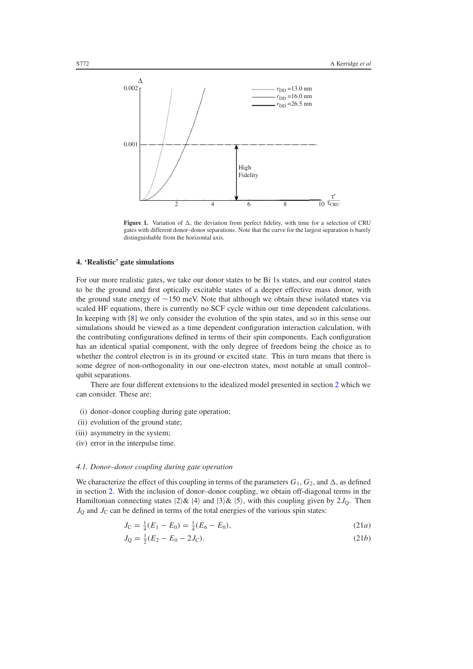<span id="page-5-1"></span>

**Figure 1.** Variation of  $\Delta$ , the deviation from perfect fidelity, with time for a selection of CRU gates with different donor–donor separations. Note that the curve for the largest separation is barely distinguishable from the horizontal axis.

#### <span id="page-5-0"></span>**4. 'Realistic' gate simulations**

For our more realistic gates, we take our donor states to be Bi 1s states, and our control states to be the ground and first optically excitable states of a deeper effective mass donor, with the ground state energy of ∼150 meV. Note that although we obtain these isolated states via scaled HF equations, there is currently no SCF cycle within our time dependent calculations. In keeping with [\[8\]](#page-9-7) we only consider the evolution of the spin states, and so in this sense our simulations should be viewed as a time dependent configuration interaction calculation, with the contributing configurations defined in terms of their spin components. Each configuration has an identical spatial component, with the only degree of freedom being the choice as to whether the control electron is in its ground or excited state. This in turn means that there is some degree of non-orthogonality in our one-electron states, most notable at small control– qubit separations.

There are four different extensions to the idealized model presented in section [2](#page-1-0) which we can consider. These are:

- (i) donor–donor coupling during gate operation;
- (ii) evolution of the ground state;
- (iii) asymmetry in the system;
- (iv) error in the interpulse time.

#### *4.1. Donor–donor coupling during gate operation*

We characterize the effect of this coupling in terms of the parameters  $G_1, G_2$ , and  $\Delta$ , as defined in section [2.](#page-1-0) With the inclusion of donor–donor coupling, we obtain off-diagonal terms in the Hamiltonian connecting states  $|2\rangle \& |4\rangle$  and  $|3\rangle \& |5\rangle$ , with this coupling given by  $2J<sub>0</sub>$ . Then  $J<sub>O</sub>$  and  $J<sub>C</sub>$  can be defined in terms of the total energies of the various spin states:

$$
J_{\rm C} = \frac{1}{4}(E_1 - E_0) = \frac{1}{4}(E_6 - E_0),\tag{21a}
$$

$$
J_Q = \frac{1}{2}(E_2 - E_0 - 2J_C). \tag{21b}
$$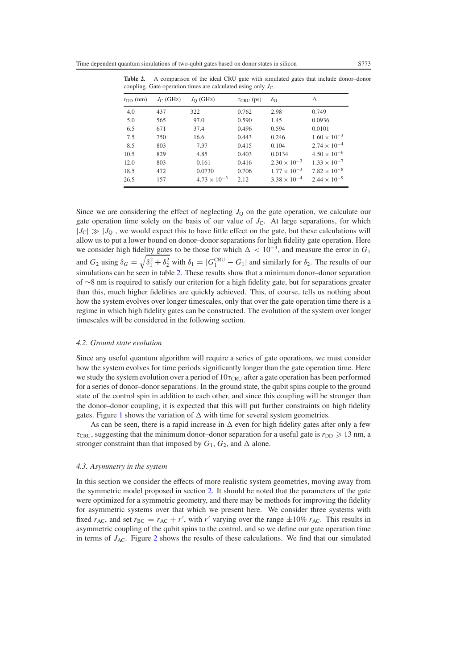| $rDD$ (nm) | $J_{\rm C}$ (GHz) | $J_{\rm O}$ (GHz)     | $\tau_{CRU}$ (ps) | $\delta_{\rm G}$      | Δ                     |
|------------|-------------------|-----------------------|-------------------|-----------------------|-----------------------|
| 4.0        | 437               | 322                   | 0.762             | 2.98                  | 0.749                 |
| 5.0        | 565               | 97.0                  | 0.590             | 1.45                  | 0.0936                |
| 6.5        | 671               | 37.4                  | 0.496             | 0.594                 | 0.0101                |
| 7.5        | 750               | 16.6                  | 0.443             | 0.246                 | $1.60 \times 10^{-3}$ |
| 8.5        | 803               | 7.37                  | 0.415             | 0.104                 | $2.74 \times 10^{-4}$ |
| 10.5       | 829               | 4.85                  | 0.403             | 0.0134                | $4.50 \times 10^{-6}$ |
| 12.0       | 803               | 0.161                 | 0.416             | $2.30 \times 10^{-3}$ | $1.33 \times 10^{-7}$ |
| 18.5       | 472               | 0.0730                | 0.706             | $1.77 \times 10^{-3}$ | $7.82 \times 10^{-8}$ |
| 26.5       | 157               | $4.73 \times 10^{-3}$ | 2.12              | $3.38 \times 10^{-4}$ | $2.44 \times 10^{-9}$ |

<span id="page-6-0"></span>**Table 2.** A comparison of the ideal CRU gate with simulated gates that include donor–donor coupling. Gate operation times are calculated using only  $J<sub>C</sub>$ .

Since we are considering the effect of neglecting  $J<sub>Q</sub>$  on the gate operation, we calculate our gate operation time solely on the basis of our value of  $J<sub>C</sub>$ . At large separations, for which  $|J_C| \gg |J_Q|$ , we would expect this to have little effect on the gate, but these calculations will allow us to put a lower bound on donor–donor separations for high fidelity gate operation. Here we consider high fidelity gates to be those for which  $\Delta < 10^{-3}$ , and measure the error in  $G_1$ and  $G_2$  using  $\delta_G = \sqrt{\delta_1^2 + \delta_2^2}$  with  $\delta_1 = |G_1^{\text{CRU}} - G_1|$  and similarly for  $\delta_2$ . The results of our simulations can be seen in table [2.](#page-6-0) These results show that a minimum donor–donor separation of ∼8 nm is required to satisfy our criterion for a high fidelity gate, but for separations greater than this, much higher fidelities are quickly achieved. This, of course, tells us nothing about how the system evolves over longer timescales, only that over the gate operation time there is a regime in which high fidelity gates can be constructed. The evolution of the system over longer timescales will be considered in the following section.

## *4.2. Ground state evolution*

Since any useful quantum algorithm will require a series of gate operations, we must consider how the system evolves for time periods significantly longer than the gate operation time. Here we study the system evolution over a period of  $10\tau_{\text{CRU}}$  after a gate operation has been performed for a series of donor–donor separations. In the ground state, the qubit spins couple to the ground state of the control spin in addition to each other, and since this coupling will be stronger than the donor–donor coupling, it is expected that this will put further constraints on high fidelity gates. Figure [1](#page-5-1) shows the variation of  $\Delta$  with time for several system geometries.

As can be seen, there is a rapid increase in  $\Delta$  even for high fidelity gates after only a few  $\tau_{\text{CRU}}$ , suggesting that the minimum donor-donor separation for a useful gate is  $r_{\text{DD}} \geq 13$  nm, a stronger constraint than that imposed by  $G_1$ ,  $G_2$ , and  $\Delta$  alone.

#### *4.3. Asymmetry in the system*

In this section we consider the effects of more realistic system geometries, moving away from the symmetric model proposed in section [2.](#page-1-0) It should be noted that the parameters of the gate were optimized for a symmetric geometry, and there may be methods for improving the fidelity for asymmetric systems over that which we present here. We consider three systems with fixed  $r_{AC}$ , and set  $r_{BC} = r_{AC} + r'$ , with  $r'$  varying over the range  $\pm 10\%$   $r_{AC}$ . This results in asymmetric coupling of the qubit spins to the control, and so we define our gate operation time in terms of  $J_{AC}$ . Figure [2](#page-7-0) shows the results of these calculations. We find that our simulated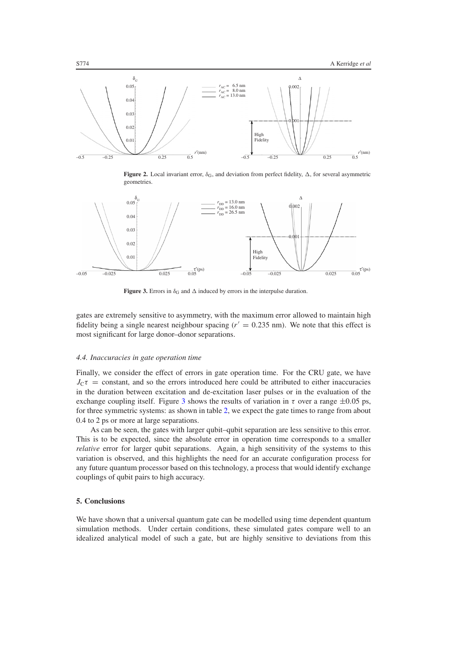<span id="page-7-0"></span>

**Figure 2.** Local invariant error,  $\delta_G$ , and deviation from perfect fidelity,  $\Delta$ , for several asymmetric geometries.

<span id="page-7-1"></span>

**Figure 3.** Errors in  $\delta_G$  and  $\Delta$  induced by errors in the interpulse duration.

gates are extremely sensitive to asymmetry, with the maximum error allowed to maintain high fidelity being a single nearest neighbour spacing  $(r' = 0.235 \text{ nm})$ . We note that this effect is most significant for large donor–donor separations.

#### *4.4. Inaccuracies in gate operation time*

Finally, we consider the effect of errors in gate operation time. For the CRU gate, we have  $J<sub>C</sub>\tau$  = constant, and so the errors introduced here could be attributed to either inaccuracies in the duration between excitation and de-excitation laser pulses or in the evaluation of the exchange coupling itself. Figure [3](#page-7-1) shows the results of variation in  $\tau$  over a range  $\pm 0.05$  ps, for three symmetric systems: as shown in table [2,](#page-6-0) we expect the gate times to range from about 0.4 to 2 ps or more at large separations.

As can be seen, the gates with larger qubit–qubit separation are less sensitive to this error. This is to be expected, since the absolute error in operation time corresponds to a smaller *relative* error for larger qubit separations. Again, a high sensitivity of the systems to this variation is observed, and this highlights the need for an accurate configuration process for any future quantum processor based on this technology, a process that would identify exchange couplings of qubit pairs to high accuracy.

#### **5. Conclusions**

We have shown that a universal quantum gate can be modelled using time dependent quantum simulation methods. Under certain conditions, these simulated gates compare well to an idealized analytical model of such a gate, but are highly sensitive to deviations from this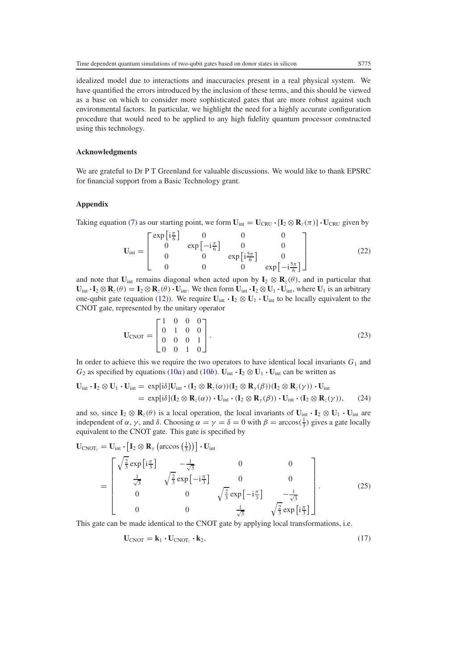idealized model due to interactions and inaccuracies present in a real physical system. We have quantified the errors introduced by the inclusion of these terms, and this should be viewed as a base on which to consider more sophisticated gates that are more robust against such environmental factors. In particular, we highlight the need for a highly accurate configuration procedure that would need to be applied to any high fidelity quantum processor constructed using this technology.

# **Acknowledgments**

We are grateful to Dr P T Greenland for valuable discussions. We would like to thank EPSRC for financial support from a Basic Technology grant.

## **Appendix**

Taking equation [\(7\)](#page-2-0) as our starting point, we form  $U_{int} = U_{CRI} \cdot [I_2 \otimes R_z(\pi)] \cdot U_{CRI}$  given by

$$
\mathbf{U}_{\text{int}} = \begin{bmatrix} \exp\left[\mathbf{i}\frac{\pi}{6}\right] & 0 & 0 & 0\\ 0 & \exp\left[-\mathbf{i}\frac{\pi}{6}\right] & 0 & 0\\ 0 & 0 & \exp\left[\mathbf{i}\frac{5\pi}{6}\right] & 0\\ 0 & 0 & 0 & \exp\left[-\mathbf{i}\frac{5\pi}{6}\right] \end{bmatrix}
$$
(22)

and note that  $U_{int}$  remains diagonal when acted upon by  $I_2 \otimes R_z(\theta)$ , and in particular that  $\mathbf{U}_{int} \cdot \mathbf{I}_2 \otimes \mathbf{R}_z(\theta) = \mathbf{I}_2 \otimes \mathbf{R}_z(\theta) \cdot \mathbf{U}_{int}$ . We then form  $\mathbf{U}_{int} \cdot \mathbf{I}_2 \otimes \mathbf{U}_1 \cdot \mathbf{U}_{int}$ , where  $\mathbf{U}_1$  is an arbitrary one-qubit gate (equation [\(12\)](#page-3-3)). We require  $U_{int} \cdot I_2 \otimes U_1 \cdot U_{int}$  to be locally equivalent to the CNOT gate, represented by the unitary operator

$$
\mathbf{U}_{\text{CNOT}} = \begin{bmatrix} 1 & 0 & 0 & 0 \\ 0 & 1 & 0 & 0 \\ 0 & 0 & 0 & 1 \\ 0 & 0 & 1 & 0 \end{bmatrix} . \tag{23}
$$

In order to achieve this we require the two operators to have identical local invariants  $G_1$  and *G*<sub>2</sub> as specified by equations [\(10](#page-2-2)*a*) and (10*b*).  $U_{int} \cdot I_2 \otimes U_1 \cdot U_{int}$  can be written as

$$
\mathbf{U}_{int} \cdot \mathbf{I}_2 \otimes \mathbf{U}_1 \cdot \mathbf{U}_{int} = \exp[i\delta] \mathbf{U}_{int} \cdot (\mathbf{I}_2 \otimes \mathbf{R}_z(\alpha)) (\mathbf{I}_2 \otimes \mathbf{R}_y(\beta)) (\mathbf{I}_2 \otimes \mathbf{R}_z(\gamma)) \cdot \mathbf{U}_{int} \n= \exp[i\delta] (\mathbf{I}_2 \otimes \mathbf{R}_z(\alpha)) \cdot \mathbf{U}_{int} \cdot (\mathbf{I}_2 \otimes \mathbf{R}_y(\beta)) \cdot \mathbf{U}_{int} \cdot (\mathbf{I}_2 \otimes \mathbf{R}_z(\gamma)), \qquad (24)
$$

and so, since  $I_2 \otimes R_z(\theta)$  is a local operation, the local invariants of  $U_{int} \cdot I_2 \otimes U_1 \cdot U_{int}$  are independent of  $\alpha$ ,  $\gamma$ , and  $\delta$ . Choosing  $\alpha = \gamma = \delta = 0$  with  $\beta = \arccos(\frac{1}{3})$  gives a gate locally equivalent to the CNOT gate. This gate is specified by

$$
\mathbf{U}_{\text{CNOT}_l} = \mathbf{U}_{\text{int}} \cdot \left[ \mathbf{I}_2 \otimes \mathbf{R}_y \left( \arccos\left(\frac{1}{3}\right) \right) \right] \cdot \mathbf{U}_{\text{int}}
$$
\n
$$
= \begin{bmatrix}\n\sqrt{\frac{2}{3}} \exp\left[i\frac{\pi}{3}\right] & -\frac{1}{\sqrt{3}} & 0 & 0 \\
\frac{1}{\sqrt{3}} & \sqrt{\frac{2}{3}} \exp\left[-i\frac{\pi}{3}\right] & 0 & 0 \\
0 & 0 & \sqrt{\frac{2}{3}} \exp\left[-i\frac{\pi}{3}\right] & -\frac{1}{\sqrt{3}} \\
0 & 0 & \frac{1}{\sqrt{3}} & \sqrt{\frac{2}{3}} \exp\left[i\frac{\pi}{3}\right]\n\end{bmatrix}.
$$
\n(25)

This gate can be made identical to the CNOT gate by applying local transformations, i.e.

$$
\mathbf{U}_{\text{CNOT}} = \mathbf{k}_1 \cdot \mathbf{U}_{\text{CNOT}_l} \cdot \mathbf{k}_2, \tag{17}
$$